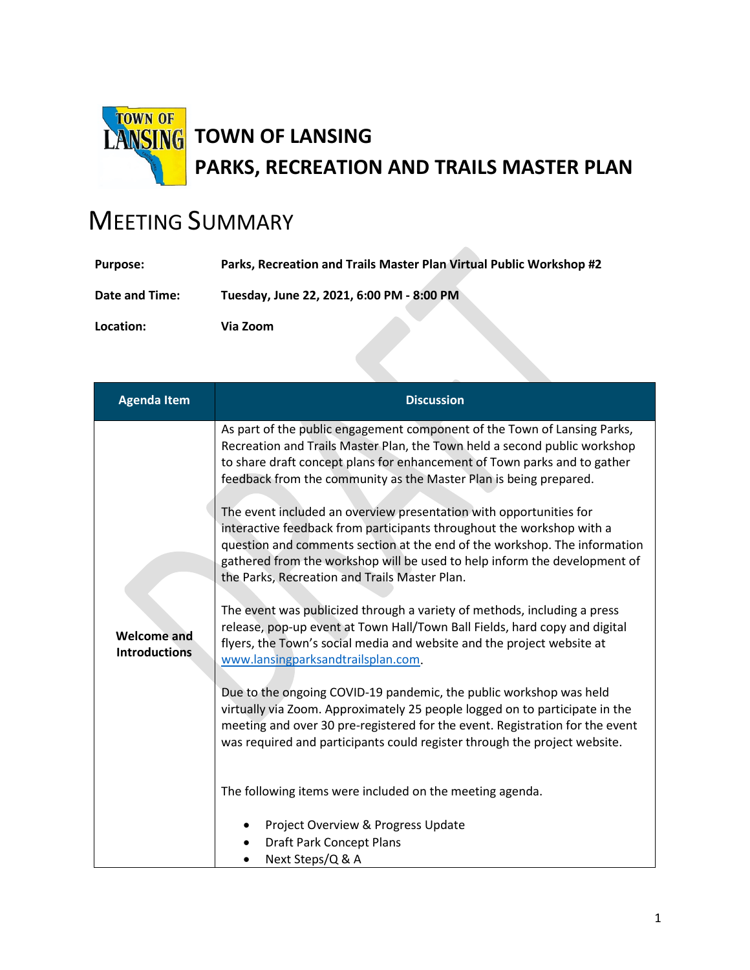

## MEETING SUMMARY

| <b>Purpose:</b> | Parks, Recreation and Trails Master Plan Virtual Public Workshop #2 |
|-----------------|---------------------------------------------------------------------|
| Date and Time:  | Tuesday, June 22, 2021, 6:00 PM - 8:00 PM                           |
| Location:       | Via Zoom                                                            |

| <b>Agenda Item</b>                         | <b>Discussion</b>                                                                                                                                                                                                                                                                                                                                                                                                                                                                                                                                                                                                                                                                                                                                                                                                                                                                                                                                                                                                                                                                                                                                                                                                                                                                                                                                                                                 |
|--------------------------------------------|---------------------------------------------------------------------------------------------------------------------------------------------------------------------------------------------------------------------------------------------------------------------------------------------------------------------------------------------------------------------------------------------------------------------------------------------------------------------------------------------------------------------------------------------------------------------------------------------------------------------------------------------------------------------------------------------------------------------------------------------------------------------------------------------------------------------------------------------------------------------------------------------------------------------------------------------------------------------------------------------------------------------------------------------------------------------------------------------------------------------------------------------------------------------------------------------------------------------------------------------------------------------------------------------------------------------------------------------------------------------------------------------------|
| <b>Welcome and</b><br><b>Introductions</b> | As part of the public engagement component of the Town of Lansing Parks,<br>Recreation and Trails Master Plan, the Town held a second public workshop<br>to share draft concept plans for enhancement of Town parks and to gather<br>feedback from the community as the Master Plan is being prepared.<br>The event included an overview presentation with opportunities for<br>interactive feedback from participants throughout the workshop with a<br>question and comments section at the end of the workshop. The information<br>gathered from the workshop will be used to help inform the development of<br>the Parks, Recreation and Trails Master Plan.<br>The event was publicized through a variety of methods, including a press<br>release, pop-up event at Town Hall/Town Ball Fields, hard copy and digital<br>flyers, the Town's social media and website and the project website at<br>www.lansingparksandtrailsplan.com.<br>Due to the ongoing COVID-19 pandemic, the public workshop was held<br>virtually via Zoom. Approximately 25 people logged on to participate in the<br>meeting and over 30 pre-registered for the event. Registration for the event<br>was required and participants could register through the project website.<br>The following items were included on the meeting agenda.<br>Project Overview & Progress Update<br><b>Draft Park Concept Plans</b> |
|                                            | Next Steps/Q & A                                                                                                                                                                                                                                                                                                                                                                                                                                                                                                                                                                                                                                                                                                                                                                                                                                                                                                                                                                                                                                                                                                                                                                                                                                                                                                                                                                                  |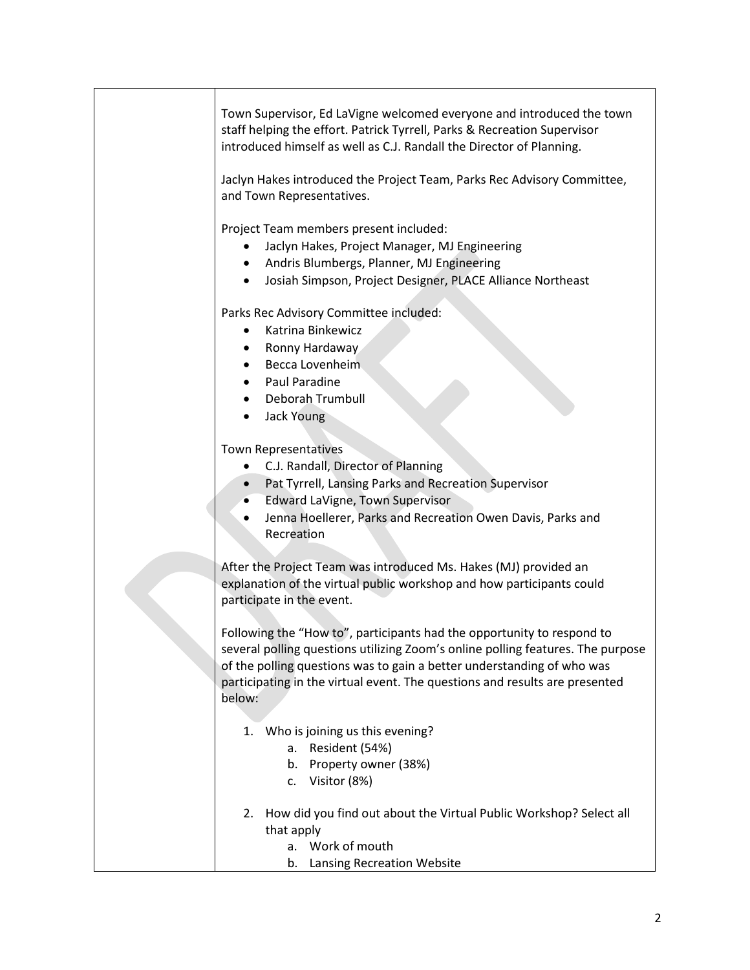| Town Supervisor, Ed LaVigne welcomed everyone and introduced the town<br>staff helping the effort. Patrick Tyrrell, Parks & Recreation Supervisor<br>introduced himself as well as C.J. Randall the Director of Planning.<br>Jaclyn Hakes introduced the Project Team, Parks Rec Advisory Committee,<br>and Town Representatives. |
|-----------------------------------------------------------------------------------------------------------------------------------------------------------------------------------------------------------------------------------------------------------------------------------------------------------------------------------|
| Project Team members present included:<br>Jaclyn Hakes, Project Manager, MJ Engineering<br>Andris Blumbergs, Planner, MJ Engineering<br>Josiah Simpson, Project Designer, PLACE Alliance Northeast                                                                                                                                |
| Parks Rec Advisory Committee included:<br>Katrina Binkewicz<br>Ronny Hardaway<br>Becca Lovenheim<br>Paul Paradine<br>Deborah Trumbull<br><b>Jack Young</b>                                                                                                                                                                        |
| <b>Town Representatives</b><br>• C.J. Randall, Director of Planning<br>Pat Tyrrell, Lansing Parks and Recreation Supervisor<br>Edward LaVigne, Town Supervisor<br>$\bullet$<br>Jenna Hoellerer, Parks and Recreation Owen Davis, Parks and<br>Recreation                                                                          |
| After the Project Team was introduced Ms. Hakes (MJ) provided an<br>explanation of the virtual public workshop and how participants could<br>participate in the event.                                                                                                                                                            |
| Following the "How to", participants had the opportunity to respond to<br>several polling questions utilizing Zoom's online polling features. The purpose<br>of the polling questions was to gain a better understanding of who was<br>participating in the virtual event. The questions and results are presented<br>below:      |
| 1. Who is joining us this evening?<br>Resident (54%)<br>а.<br>Property owner (38%)<br>b.<br>Visitor (8%)<br>c.                                                                                                                                                                                                                    |
| How did you find out about the Virtual Public Workshop? Select all<br>2.<br>that apply<br>a. Work of mouth<br>Lansing Recreation Website<br>b.                                                                                                                                                                                    |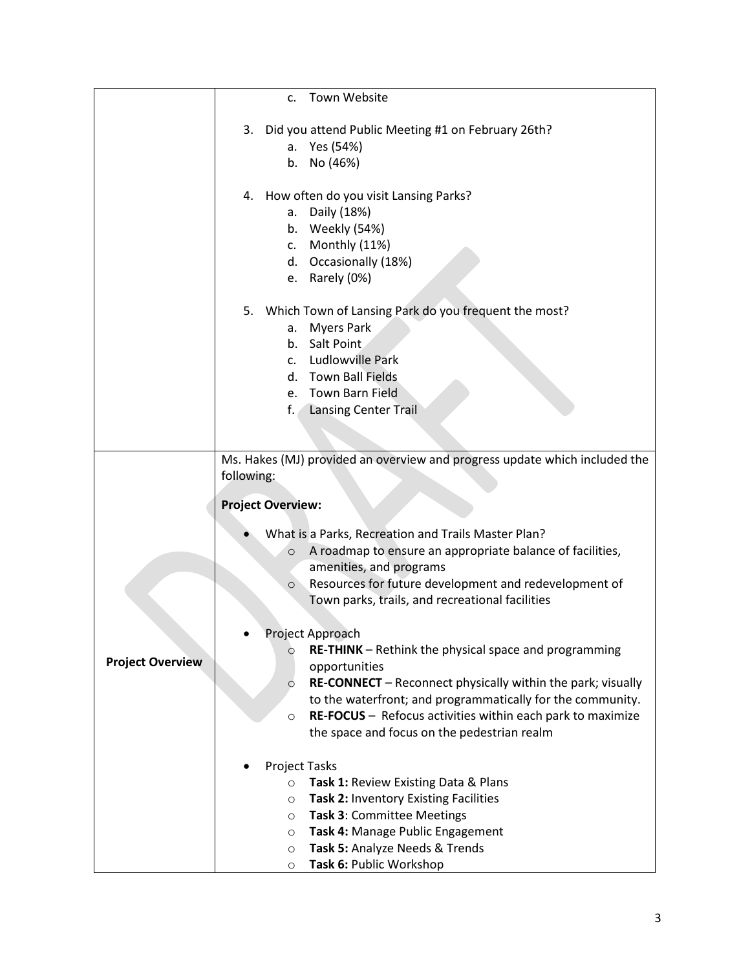|                         | Town Website<br>$\mathsf{C}$ .                                                                      |
|-------------------------|-----------------------------------------------------------------------------------------------------|
|                         | Did you attend Public Meeting #1 on February 26th?<br>3.                                            |
|                         | Yes (54%)<br>а.                                                                                     |
|                         | No (46%)<br>b.                                                                                      |
|                         |                                                                                                     |
|                         | How often do you visit Lansing Parks?<br>4.                                                         |
|                         | Daily (18%)<br>а.                                                                                   |
|                         | Weekly (54%)<br>b.                                                                                  |
|                         | Monthly (11%)<br>c.                                                                                 |
|                         | d. Occasionally (18%)                                                                               |
|                         | Rarely (0%)<br>e.                                                                                   |
|                         | 5. Which Town of Lansing Park do you frequent the most?                                             |
|                         | <b>Myers Park</b><br>a.                                                                             |
|                         | Salt Point<br>b.                                                                                    |
|                         | Ludlowville Park<br>$\mathsf{C}$ .                                                                  |
|                         | d. Town Ball Fields                                                                                 |
|                         | e. Town Barn Field                                                                                  |
|                         | f.<br><b>Lansing Center Trail</b>                                                                   |
|                         |                                                                                                     |
|                         |                                                                                                     |
|                         | Ms. Hakes (MJ) provided an overview and progress update which included the<br>following:            |
|                         |                                                                                                     |
|                         | <b>Project Overview:</b>                                                                            |
|                         |                                                                                                     |
|                         | What is a Parks, Recreation and Trails Master Plan?<br>$\circ$                                      |
|                         | A roadmap to ensure an appropriate balance of facilities,<br>amenities, and programs                |
|                         | Resources for future development and redevelopment of<br>$\circ$                                    |
|                         | Town parks, trails, and recreational facilities                                                     |
|                         |                                                                                                     |
|                         | Project Approach                                                                                    |
|                         | <b>RE-THINK</b> – Rethink the physical space and programming<br>$\circ$                             |
| <b>Project Overview</b> | opportunities                                                                                       |
|                         | RE-CONNECT - Reconnect physically within the park; visually<br>$\circ$                              |
|                         | to the waterfront; and programmatically for the community.                                          |
|                         | RE-FOCUS - Refocus activities within each park to maximize<br>$\circ$                               |
|                         | the space and focus on the pedestrian realm                                                         |
|                         |                                                                                                     |
|                         | <b>Project Tasks</b>                                                                                |
|                         | Task 1: Review Existing Data & Plans<br>$\circ$<br>Task 2: Inventory Existing Facilities<br>$\circ$ |
|                         | Task 3: Committee Meetings<br>$\circ$                                                               |
|                         | Task 4: Manage Public Engagement<br>$\circ$                                                         |
|                         | Task 5: Analyze Needs & Trends<br>$\circ$                                                           |
|                         | Task 6: Public Workshop<br>$\circ$                                                                  |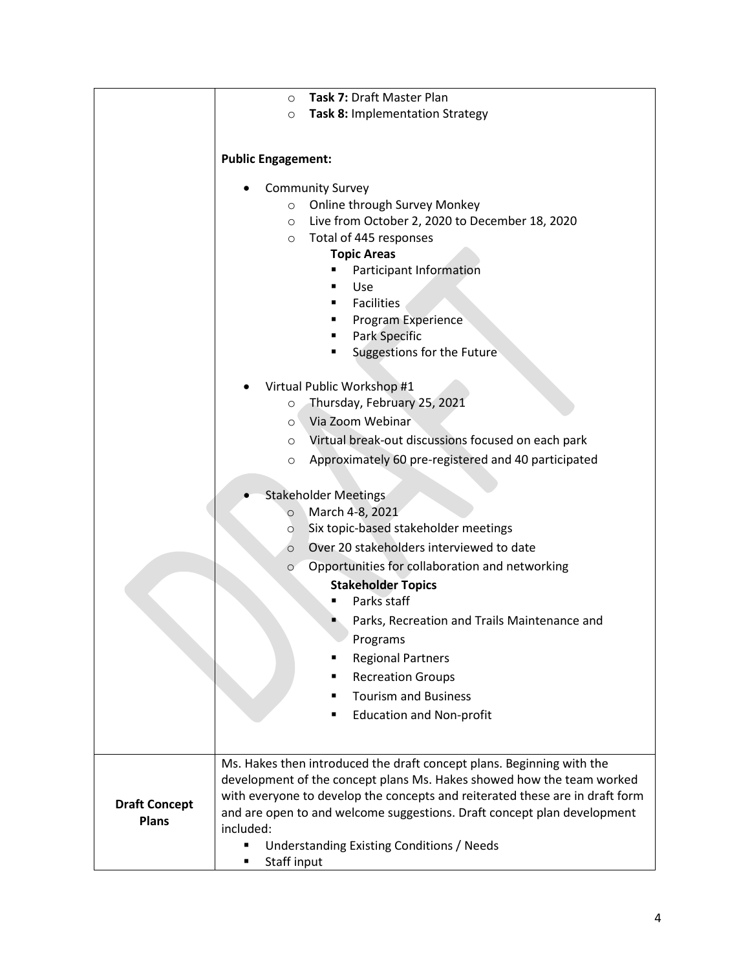|                                      | Task 7: Draft Master Plan<br>$\circ$                                         |
|--------------------------------------|------------------------------------------------------------------------------|
|                                      | Task 8: Implementation Strategy<br>$\circ$                                   |
|                                      |                                                                              |
|                                      |                                                                              |
|                                      | <b>Public Engagement:</b>                                                    |
|                                      | <b>Community Survey</b>                                                      |
|                                      | Online through Survey Monkey<br>$\circ$                                      |
|                                      | Live from October 2, 2020 to December 18, 2020<br>$\circ$                    |
|                                      | Total of 445 responses<br>$\circ$                                            |
|                                      | <b>Topic Areas</b>                                                           |
|                                      | Participant Information                                                      |
|                                      | Use<br><b>Facilities</b><br>■                                                |
|                                      | Program Experience<br>٠                                                      |
|                                      | Park Specific                                                                |
|                                      | Suggestions for the Future                                                   |
|                                      |                                                                              |
|                                      | Virtual Public Workshop #1                                                   |
|                                      | Thursday, February 25, 2021<br>$\circ$                                       |
|                                      | Via Zoom Webinar<br>$\circ$                                                  |
|                                      | Virtual break-out discussions focused on each park<br>$\circ$                |
|                                      | Approximately 60 pre-registered and 40 participated<br>$\circ$               |
|                                      |                                                                              |
|                                      | <b>Stakeholder Meetings</b>                                                  |
|                                      | March 4-8, 2021<br>$\circ$                                                   |
|                                      | Six topic-based stakeholder meetings<br>$\circ$                              |
|                                      | Over 20 stakeholders interviewed to date<br>$\circ$                          |
|                                      | Opportunities for collaboration and networking<br>$\circ$                    |
|                                      | <b>Stakeholder Topics</b>                                                    |
|                                      | Parks staff                                                                  |
|                                      | Parks, Recreation and Trails Maintenance and                                 |
|                                      | Programs                                                                     |
|                                      | <b>Regional Partners</b>                                                     |
|                                      | <b>Recreation Groups</b>                                                     |
|                                      | <b>Tourism and Business</b>                                                  |
|                                      | <b>Education and Non-profit</b>                                              |
|                                      |                                                                              |
|                                      | Ms. Hakes then introduced the draft concept plans. Beginning with the        |
|                                      | development of the concept plans Ms. Hakes showed how the team worked        |
|                                      | with everyone to develop the concepts and reiterated these are in draft form |
| <b>Draft Concept</b><br><b>Plans</b> | and are open to and welcome suggestions. Draft concept plan development      |
|                                      | included:                                                                    |
|                                      | Understanding Existing Conditions / Needs                                    |
|                                      | Staff input                                                                  |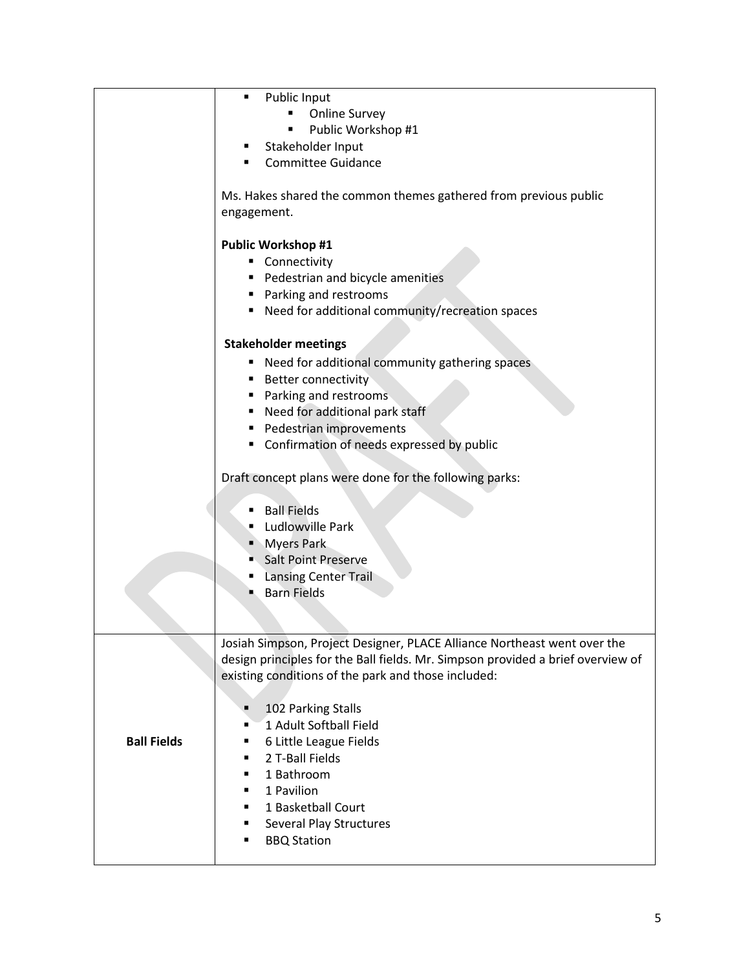|                    | Public Input<br>٠                                                                                                                                           |
|--------------------|-------------------------------------------------------------------------------------------------------------------------------------------------------------|
|                    | <b>Online Survey</b><br>٠                                                                                                                                   |
|                    | Public Workshop #1                                                                                                                                          |
|                    | Stakeholder Input<br>٠                                                                                                                                      |
|                    | <b>Committee Guidance</b>                                                                                                                                   |
|                    |                                                                                                                                                             |
|                    | Ms. Hakes shared the common themes gathered from previous public                                                                                            |
|                    | engagement.                                                                                                                                                 |
|                    |                                                                                                                                                             |
|                    | <b>Public Workshop #1</b>                                                                                                                                   |
|                    | Connectivity                                                                                                                                                |
|                    | Pedestrian and bicycle amenities                                                                                                                            |
|                    | ■ Parking and restrooms                                                                                                                                     |
|                    | Need for additional community/recreation spaces                                                                                                             |
|                    |                                                                                                                                                             |
|                    | <b>Stakeholder meetings</b>                                                                                                                                 |
|                    | " Need for additional community gathering spaces                                                                                                            |
|                    | <b>Better connectivity</b>                                                                                                                                  |
|                    | Parking and restrooms                                                                                                                                       |
|                    | Need for additional park staff                                                                                                                              |
|                    | Pedestrian improvements                                                                                                                                     |
|                    | " Confirmation of needs expressed by public                                                                                                                 |
|                    |                                                                                                                                                             |
|                    | Draft concept plans were done for the following parks:                                                                                                      |
|                    |                                                                                                                                                             |
|                    | <b>Ball Fields</b>                                                                                                                                          |
|                    | Ludlowville Park                                                                                                                                            |
|                    | <b>Myers Park</b>                                                                                                                                           |
|                    | Salt Point Preserve                                                                                                                                         |
|                    | <b>Lansing Center Trail</b><br><b>Barn Fields</b>                                                                                                           |
|                    |                                                                                                                                                             |
|                    |                                                                                                                                                             |
|                    |                                                                                                                                                             |
|                    | Josiah Simpson, Project Designer, PLACE Alliance Northeast went over the<br>design principles for the Ball fields. Mr. Simpson provided a brief overview of |
|                    |                                                                                                                                                             |
|                    | existing conditions of the park and those included:                                                                                                         |
|                    | 102 Parking Stalls<br>٠                                                                                                                                     |
|                    | 1 Adult Softball Field<br>٠                                                                                                                                 |
| <b>Ball Fields</b> | 6 Little League Fields<br>٠                                                                                                                                 |
|                    | 2 T-Ball Fields<br>٠                                                                                                                                        |
|                    | 1 Bathroom<br>٠                                                                                                                                             |
|                    | 1 Pavilion                                                                                                                                                  |
|                    | 1 Basketball Court                                                                                                                                          |
|                    | Several Play Structures<br>٠                                                                                                                                |
|                    | <b>BBQ Station</b><br>٠                                                                                                                                     |
|                    |                                                                                                                                                             |
|                    |                                                                                                                                                             |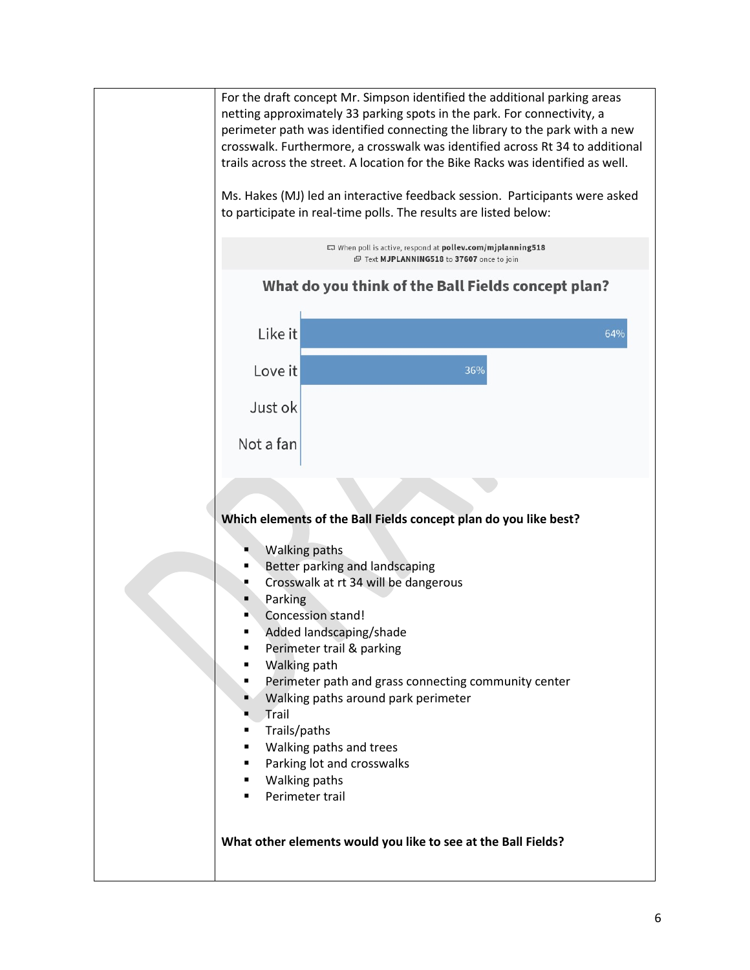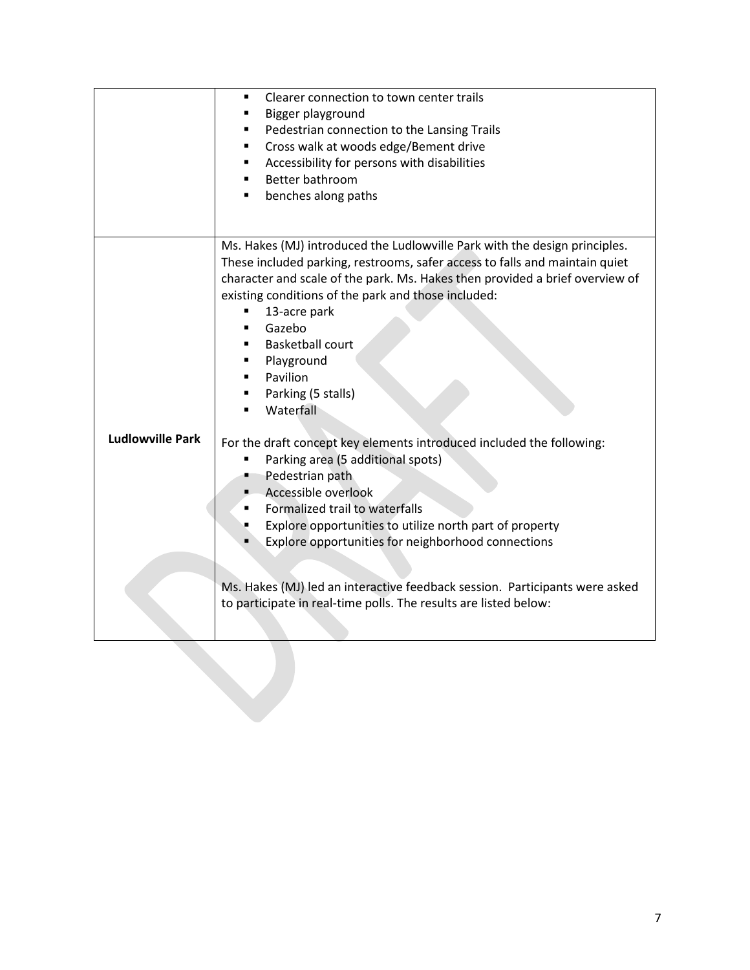|                         | Clearer connection to town center trails<br>٠<br>Bigger playground<br>Pedestrian connection to the Lansing Trails<br>٠<br>Cross walk at woods edge/Bement drive<br>٠<br>Accessibility for persons with disabilities<br>٠<br>Better bathroom<br>٠<br>benches along paths<br>٠                                                                                                                                                                                                                                                                                                                                                                                                                                                                                                                                                   |
|-------------------------|--------------------------------------------------------------------------------------------------------------------------------------------------------------------------------------------------------------------------------------------------------------------------------------------------------------------------------------------------------------------------------------------------------------------------------------------------------------------------------------------------------------------------------------------------------------------------------------------------------------------------------------------------------------------------------------------------------------------------------------------------------------------------------------------------------------------------------|
|                         | Ms. Hakes (MJ) introduced the Ludlowville Park with the design principles.                                                                                                                                                                                                                                                                                                                                                                                                                                                                                                                                                                                                                                                                                                                                                     |
| <b>Ludlowville Park</b> | These included parking, restrooms, safer access to falls and maintain quiet<br>character and scale of the park. Ms. Hakes then provided a brief overview of<br>existing conditions of the park and those included:<br>13-acre park<br>٠<br>Gazebo<br><b>Basketball court</b><br>Playground<br>Pavilion<br>Parking (5 stalls)<br>Waterfall<br>$\blacksquare$<br>For the draft concept key elements introduced included the following:<br>Parking area (5 additional spots)<br>٠<br>Pedestrian path<br>Accessible overlook<br>Formalized trail to waterfalls<br>Explore opportunities to utilize north part of property<br>Explore opportunities for neighborhood connections<br>Ms. Hakes (MJ) led an interactive feedback session. Participants were asked<br>to participate in real-time polls. The results are listed below: |
|                         |                                                                                                                                                                                                                                                                                                                                                                                                                                                                                                                                                                                                                                                                                                                                                                                                                                |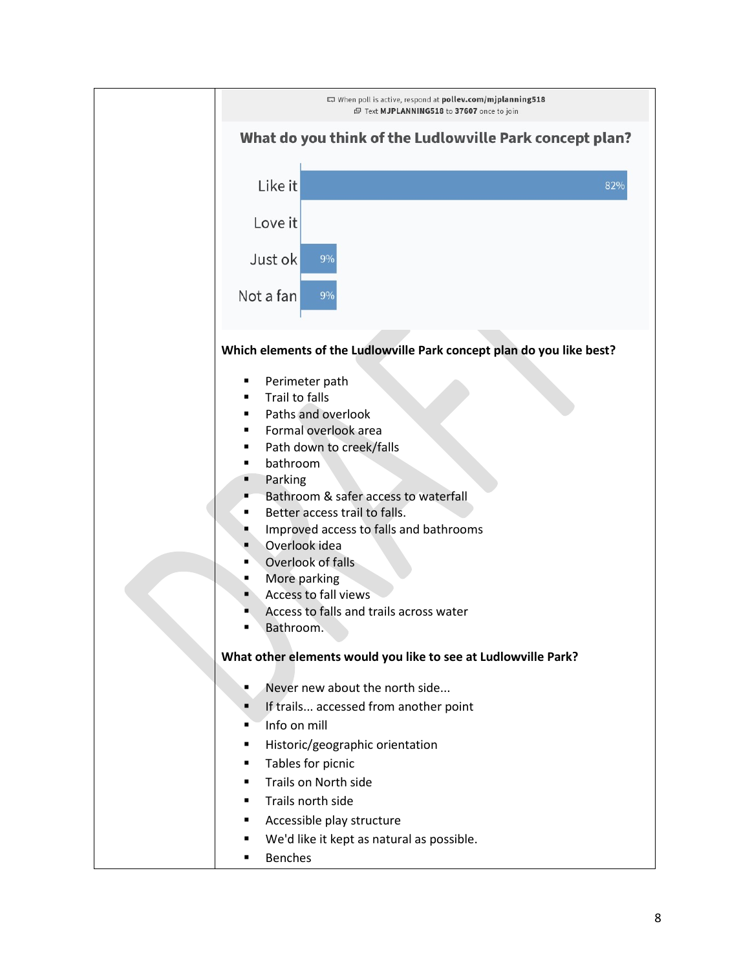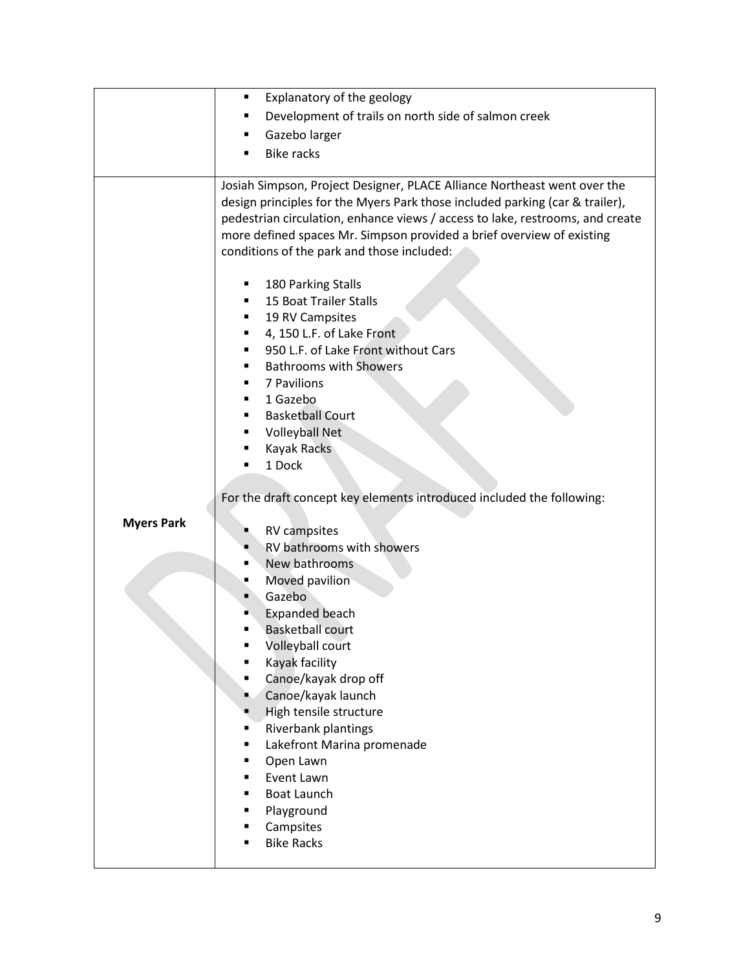|                   | Explanatory of the geology<br>٠                                                                                                                                                                                                                                                                                                                                                                                                                                  |
|-------------------|------------------------------------------------------------------------------------------------------------------------------------------------------------------------------------------------------------------------------------------------------------------------------------------------------------------------------------------------------------------------------------------------------------------------------------------------------------------|
|                   | Development of trails on north side of salmon creek                                                                                                                                                                                                                                                                                                                                                                                                              |
|                   | Gazebo larger<br>٠                                                                                                                                                                                                                                                                                                                                                                                                                                               |
|                   | <b>Bike racks</b>                                                                                                                                                                                                                                                                                                                                                                                                                                                |
|                   |                                                                                                                                                                                                                                                                                                                                                                                                                                                                  |
|                   | Josiah Simpson, Project Designer, PLACE Alliance Northeast went over the<br>design principles for the Myers Park those included parking (car & trailer),<br>pedestrian circulation, enhance views / access to lake, restrooms, and create<br>more defined spaces Mr. Simpson provided a brief overview of existing<br>conditions of the park and those included:                                                                                                 |
|                   | 180 Parking Stalls<br>15 Boat Trailer Stalls<br>19 RV Campsites<br>4, 150 L.F. of Lake Front<br>٠<br>950 L.F. of Lake Front without Cars<br><b>Bathrooms with Showers</b><br>7 Pavilions<br>1 Gazebo<br>٠<br><b>Basketball Court</b><br><b>Volleyball Net</b><br><b>Kayak Racks</b><br>1 Dock                                                                                                                                                                    |
|                   |                                                                                                                                                                                                                                                                                                                                                                                                                                                                  |
|                   | For the draft concept key elements introduced included the following:                                                                                                                                                                                                                                                                                                                                                                                            |
| <b>Myers Park</b> | <b>RV</b> campsites<br>RV bathrooms with showers<br>п<br>New bathrooms<br>Moved pavilion<br>٠<br>Gazebo<br>$\blacksquare$<br><b>Expanded beach</b><br><b>Basketball court</b><br>Volleyball court<br>Kayak facility<br>Canoe/kayak drop off<br>٠<br>Canoe/kayak launch<br>в<br>High tensile structure<br>Riverbank plantings<br>п<br>Lakefront Marina promenade<br>Open Lawn<br>Event Lawn<br><b>Boat Launch</b><br>Playground<br>Campsites<br><b>Bike Racks</b> |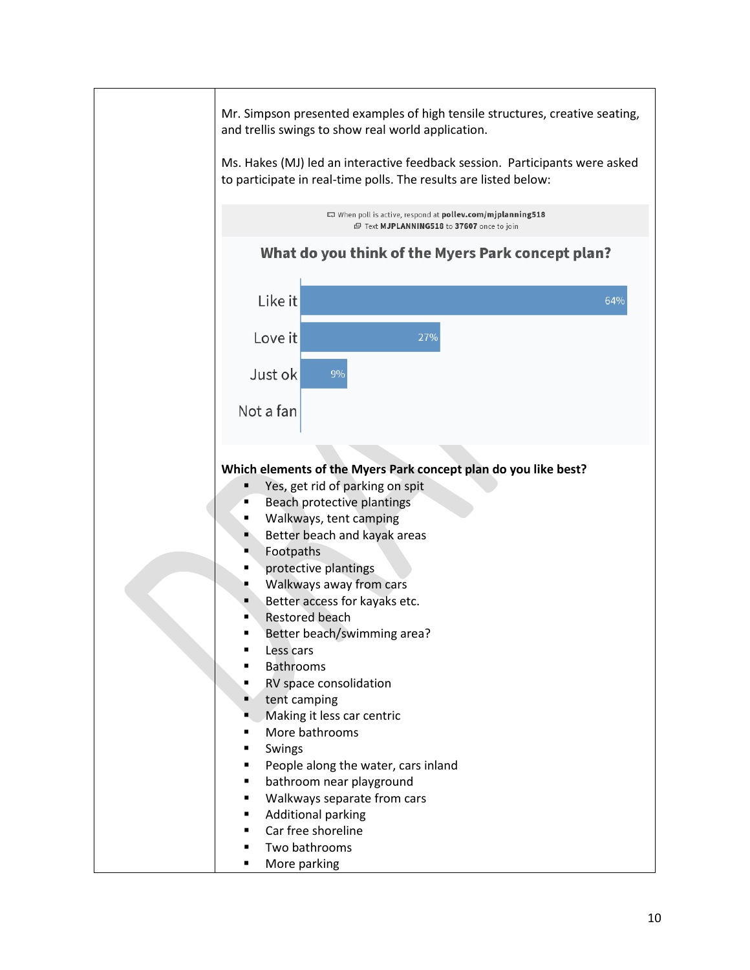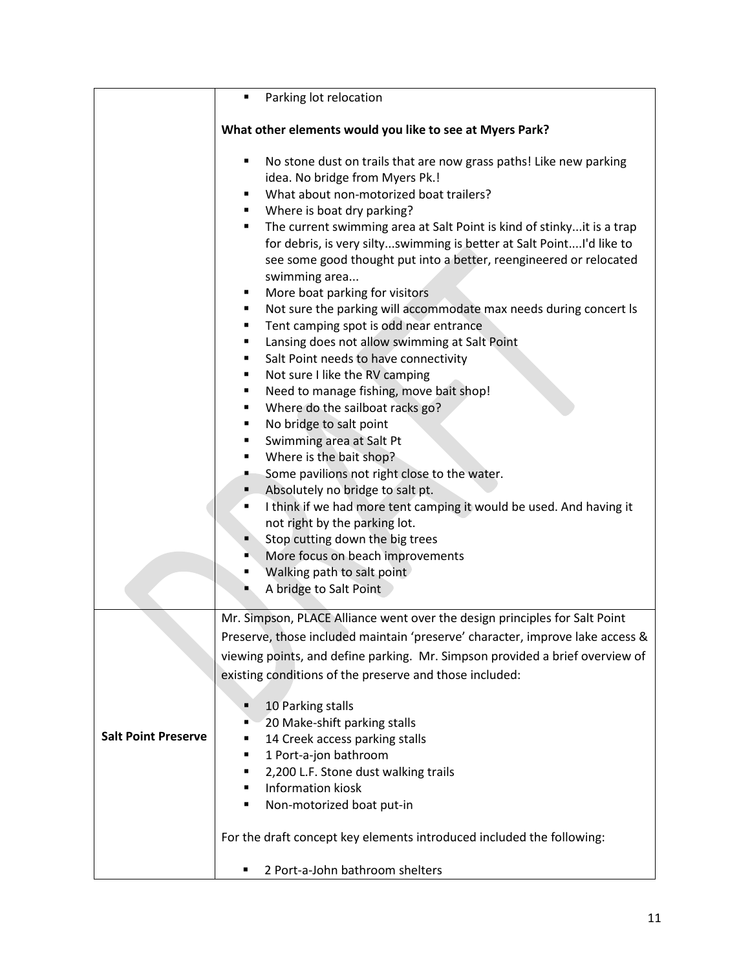|                            | Parking lot relocation<br>٠                                                                                                                                                                                                                                                                                                                                                                                                                                                                                                                                                                                                                                                                                                                                                                                                                                                                                                                                                                                                                                                                                                                                                                                                       |
|----------------------------|-----------------------------------------------------------------------------------------------------------------------------------------------------------------------------------------------------------------------------------------------------------------------------------------------------------------------------------------------------------------------------------------------------------------------------------------------------------------------------------------------------------------------------------------------------------------------------------------------------------------------------------------------------------------------------------------------------------------------------------------------------------------------------------------------------------------------------------------------------------------------------------------------------------------------------------------------------------------------------------------------------------------------------------------------------------------------------------------------------------------------------------------------------------------------------------------------------------------------------------|
|                            | What other elements would you like to see at Myers Park?                                                                                                                                                                                                                                                                                                                                                                                                                                                                                                                                                                                                                                                                                                                                                                                                                                                                                                                                                                                                                                                                                                                                                                          |
|                            | No stone dust on trails that are now grass paths! Like new parking<br>٠<br>idea. No bridge from Myers Pk.!<br>What about non-motorized boat trailers?<br>٠<br>Where is boat dry parking?<br>٠<br>The current swimming area at Salt Point is kind of stinkyit is a trap<br>٠<br>for debris, is very siltyswimming is better at Salt PointI'd like to<br>see some good thought put into a better, reengineered or relocated<br>swimming area<br>More boat parking for visitors<br>٠<br>Not sure the parking will accommodate max needs during concert Is<br>٠<br>Tent camping spot is odd near entrance<br>٠<br>Lansing does not allow swimming at Salt Point<br>٠<br>Salt Point needs to have connectivity<br>٠<br>Not sure I like the RV camping<br>٠<br>Need to manage fishing, move bait shop!<br>٠<br>Where do the sailboat racks go?<br>٠<br>No bridge to salt point<br>٠<br>Swimming area at Salt Pt<br>٠<br>Where is the bait shop?<br>٠<br>Some pavilions not right close to the water.<br>٠.<br>Absolutely no bridge to salt pt.<br>I think if we had more tent camping it would be used. And having it<br>٠<br>not right by the parking lot.<br>Stop cutting down the big trees<br>More focus on beach improvements<br>٠ |
|                            | Walking path to salt point<br>A bridge to Salt Point                                                                                                                                                                                                                                                                                                                                                                                                                                                                                                                                                                                                                                                                                                                                                                                                                                                                                                                                                                                                                                                                                                                                                                              |
| <b>Salt Point Preserve</b> | Mr. Simpson, PLACE Alliance went over the design principles for Salt Point<br>Preserve, those included maintain 'preserve' character, improve lake access &<br>viewing points, and define parking. Mr. Simpson provided a brief overview of<br>existing conditions of the preserve and those included:<br>10 Parking stalls<br>Ξ<br>20 Make-shift parking stalls<br>٠<br>14 Creek access parking stalls<br>٠<br>1 Port-a-jon bathroom<br>٠<br>2,200 L.F. Stone dust walking trails<br>٠<br><b>Information kiosk</b><br>٠<br>Non-motorized boat put-in<br>٠<br>For the draft concept key elements introduced included the following:                                                                                                                                                                                                                                                                                                                                                                                                                                                                                                                                                                                               |
|                            | 2 Port-a-John bathroom shelters                                                                                                                                                                                                                                                                                                                                                                                                                                                                                                                                                                                                                                                                                                                                                                                                                                                                                                                                                                                                                                                                                                                                                                                                   |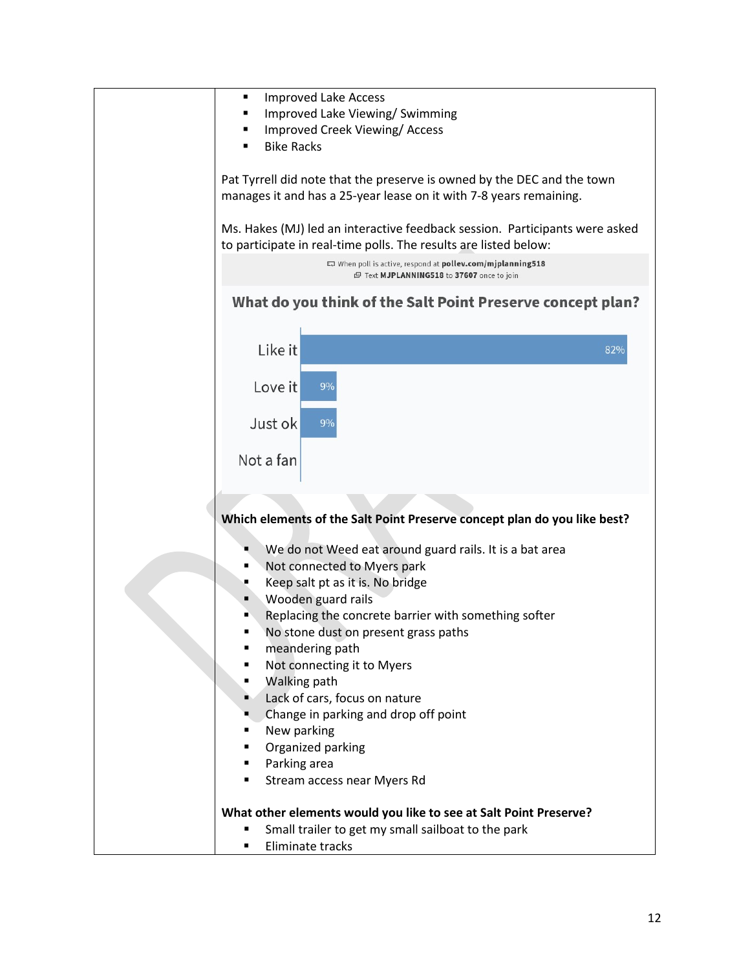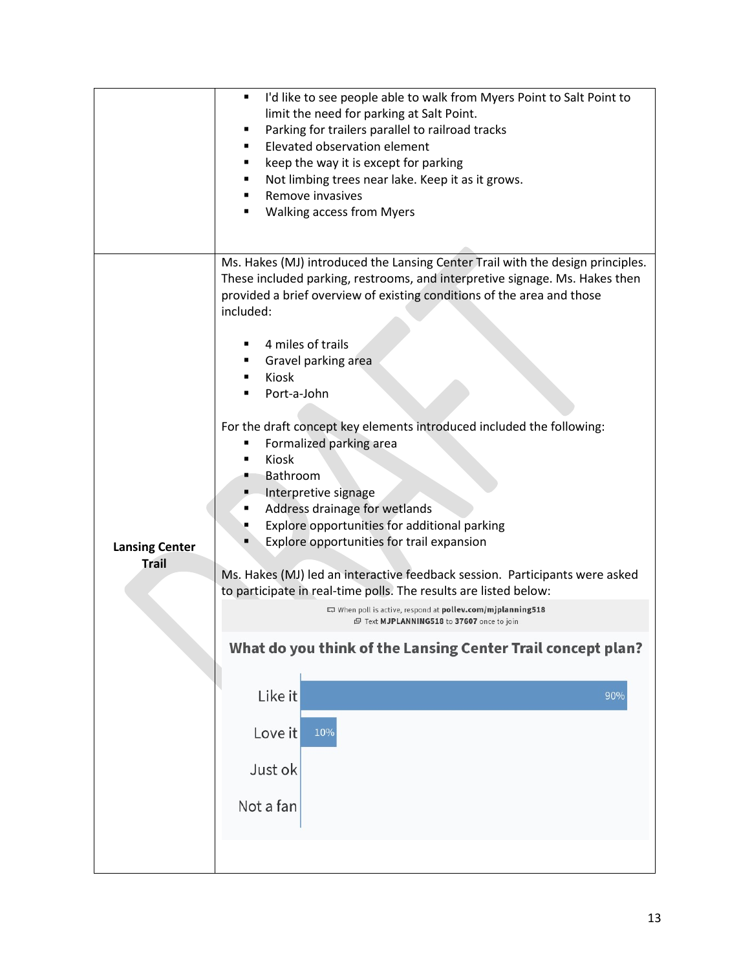|                                       | I'd like to see people able to walk from Myers Point to Salt Point to<br>limit the need for parking at Salt Point.<br>Parking for trailers parallel to railroad tracks<br>п<br>Elevated observation element<br>keep the way it is except for parking<br>Not limbing trees near lake. Keep it as it grows.<br>п<br>Remove invasives<br><b>Walking access from Myers</b><br>٠                                                                                                                                                                                                                                                                                                                                                                                                                                                                                                                                                                                                                     |
|---------------------------------------|-------------------------------------------------------------------------------------------------------------------------------------------------------------------------------------------------------------------------------------------------------------------------------------------------------------------------------------------------------------------------------------------------------------------------------------------------------------------------------------------------------------------------------------------------------------------------------------------------------------------------------------------------------------------------------------------------------------------------------------------------------------------------------------------------------------------------------------------------------------------------------------------------------------------------------------------------------------------------------------------------|
| <b>Lansing Center</b><br><b>Trail</b> | Ms. Hakes (MJ) introduced the Lansing Center Trail with the design principles.<br>These included parking, restrooms, and interpretive signage. Ms. Hakes then<br>provided a brief overview of existing conditions of the area and those<br>included:<br>4 miles of trails<br>Gravel parking area<br>Kiosk<br>Port-a-John<br>For the draft concept key elements introduced included the following:<br>Formalized parking area<br>Kiosk<br>Bathroom<br>Interpretive signage<br>Address drainage for wetlands<br>Explore opportunities for additional parking<br>Explore opportunities for trail expansion<br>Ms. Hakes (MJ) led an interactive feedback session. Participants were asked<br>to participate in real-time polls. The results are listed below:<br>When poll is active, respond at pollev.com/mjplanning518<br>图 Text MJPLANNING518 to 37607 once to join<br>What do you think of the Lansing Center Trail concept plan?<br>Like it<br>90%<br>Love it<br>10%<br>Just ok<br>Not a fan |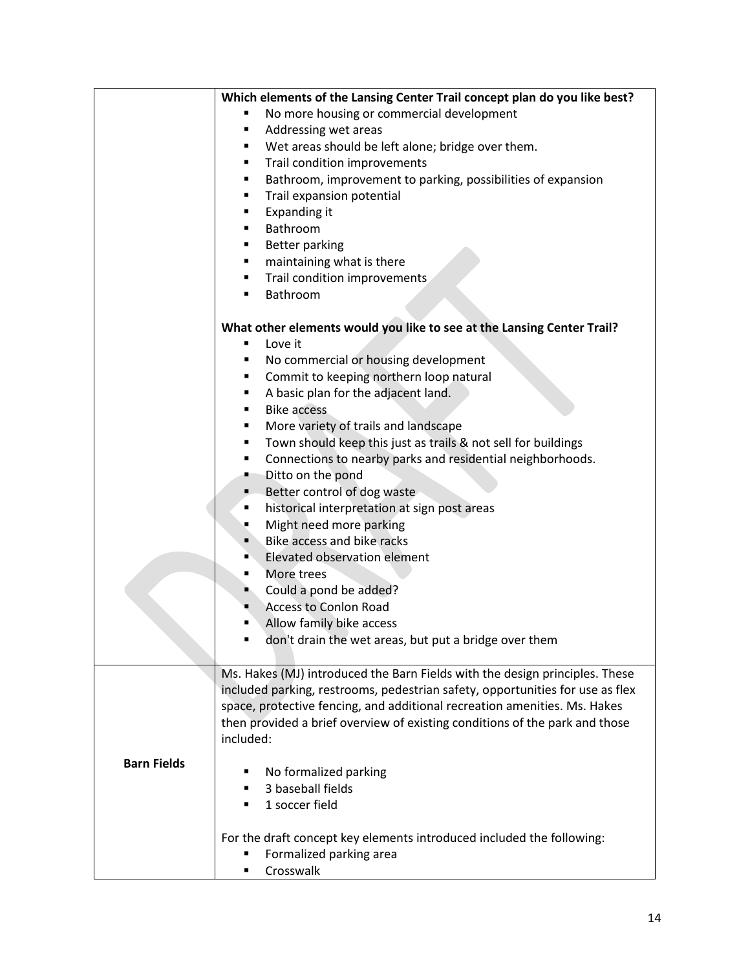|                    | Which elements of the Lansing Center Trail concept plan do you like best?     |
|--------------------|-------------------------------------------------------------------------------|
|                    | No more housing or commercial development                                     |
|                    | Addressing wet areas<br>٠                                                     |
|                    | Wet areas should be left alone; bridge over them.<br>٠                        |
|                    | Trail condition improvements<br>٠                                             |
|                    | Bathroom, improvement to parking, possibilities of expansion<br>٠             |
|                    | Trail expansion potential<br>٠                                                |
|                    | Expanding it<br>٠                                                             |
|                    | Bathroom<br>$\blacksquare$                                                    |
|                    | <b>Better parking</b><br>٠                                                    |
|                    | maintaining what is there<br>٠                                                |
|                    | Trail condition improvements<br>٠                                             |
|                    | Bathroom<br>٠                                                                 |
|                    |                                                                               |
|                    | What other elements would you like to see at the Lansing Center Trail?        |
|                    | Love it<br>п                                                                  |
|                    | No commercial or housing development<br>٠                                     |
|                    | Commit to keeping northern loop natural<br>٠                                  |
|                    | A basic plan for the adjacent land.<br>٠                                      |
|                    | <b>Bike access</b><br>٠                                                       |
|                    | More variety of trails and landscape<br>٠                                     |
|                    | Town should keep this just as trails & not sell for buildings<br>٠            |
|                    | Connections to nearby parks and residential neighborhoods.<br>٠               |
|                    | Ditto on the pond<br>٠                                                        |
|                    |                                                                               |
|                    | Better control of dog waste                                                   |
|                    | historical interpretation at sign post areas<br>٠                             |
|                    | Might need more parking                                                       |
|                    | Bike access and bike racks<br>٠                                               |
|                    | Elevated observation element<br>п                                             |
|                    | More trees<br>٠                                                               |
|                    | Could a pond be added?<br>D.                                                  |
|                    | <b>Access to Conlon Road</b><br>٠                                             |
|                    | Allow family bike access<br>п                                                 |
|                    | don't drain the wet areas, but put a bridge over them                         |
|                    |                                                                               |
|                    | Ms. Hakes (MJ) introduced the Barn Fields with the design principles. These   |
|                    | included parking, restrooms, pedestrian safety, opportunities for use as flex |
|                    | space, protective fencing, and additional recreation amenities. Ms. Hakes     |
|                    | then provided a brief overview of existing conditions of the park and those   |
|                    | included:                                                                     |
| <b>Barn Fields</b> |                                                                               |
|                    | No formalized parking                                                         |
|                    | 3 baseball fields<br>$\blacksquare$                                           |
|                    | 1 soccer field<br>٠                                                           |
|                    | For the draft concept key elements introduced included the following:         |
|                    | Formalized parking area                                                       |
|                    | Crosswalk<br>٠                                                                |
|                    |                                                                               |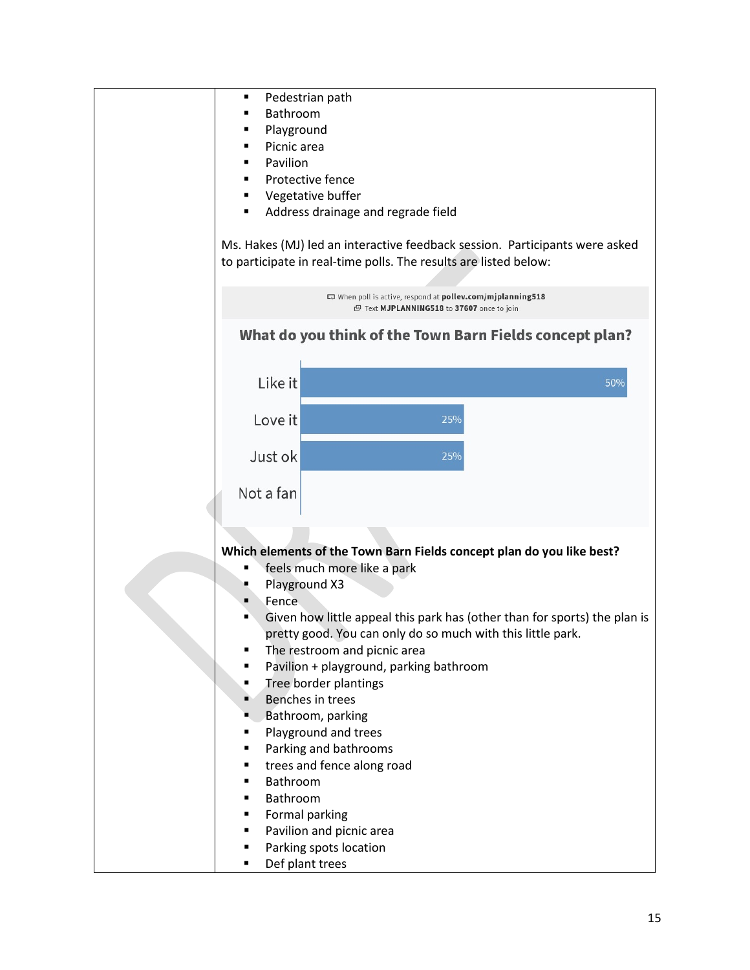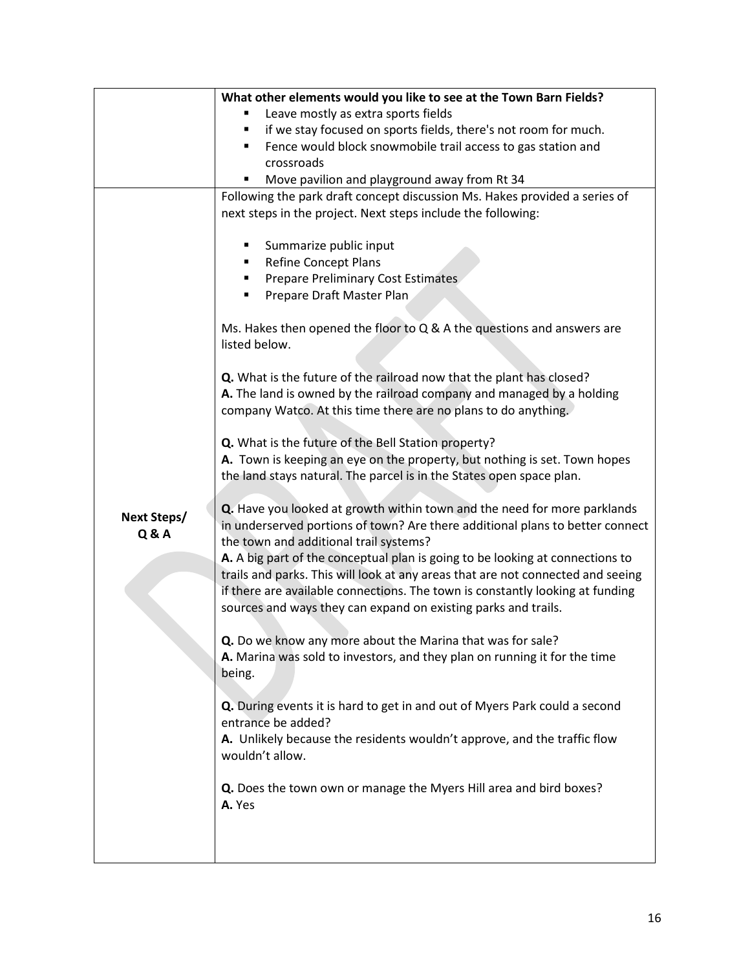|                    | What other elements would you like to see at the Town Barn Fields?              |
|--------------------|---------------------------------------------------------------------------------|
|                    | Leave mostly as extra sports fields                                             |
|                    | if we stay focused on sports fields, there's not room for much.<br>٠            |
|                    | Fence would block snowmobile trail access to gas station and                    |
|                    | crossroads                                                                      |
|                    | Move pavilion and playground away from Rt 34<br>٠                               |
|                    | Following the park draft concept discussion Ms. Hakes provided a series of      |
|                    | next steps in the project. Next steps include the following:                    |
|                    |                                                                                 |
|                    | Summarize public input                                                          |
|                    | <b>Refine Concept Plans</b><br>٠                                                |
|                    | <b>Prepare Preliminary Cost Estimates</b>                                       |
|                    | Prepare Draft Master Plan                                                       |
|                    |                                                                                 |
|                    | Ms. Hakes then opened the floor to Q & A the questions and answers are          |
|                    | listed below.                                                                   |
|                    |                                                                                 |
|                    | Q. What is the future of the railroad now that the plant has closed?            |
|                    | A. The land is owned by the railroad company and managed by a holding           |
|                    | company Watco. At this time there are no plans to do anything.                  |
|                    |                                                                                 |
|                    | Q. What is the future of the Bell Station property?                             |
|                    | A. Town is keeping an eye on the property, but nothing is set. Town hopes       |
|                    | the land stays natural. The parcel is in the States open space plan.            |
|                    |                                                                                 |
| <b>Next Steps/</b> | Q. Have you looked at growth within town and the need for more parklands        |
| <b>Q&amp;A</b>     | in underserved portions of town? Are there additional plans to better connect   |
|                    | the town and additional trail systems?                                          |
|                    | A. A big part of the conceptual plan is going to be looking at connections to   |
|                    | trails and parks. This will look at any areas that are not connected and seeing |
|                    | if there are available connections. The town is constantly looking at funding   |
|                    | sources and ways they can expand on existing parks and trails.                  |
|                    | Q. Do we know any more about the Marina that was for sale?                      |
|                    |                                                                                 |
|                    | A. Marina was sold to investors, and they plan on running it for the time       |
|                    | being.                                                                          |
|                    | Q. During events it is hard to get in and out of Myers Park could a second      |
|                    | entrance be added?                                                              |
|                    | A. Unlikely because the residents wouldn't approve, and the traffic flow        |
|                    | wouldn't allow.                                                                 |
|                    |                                                                                 |
|                    | Q. Does the town own or manage the Myers Hill area and bird boxes?              |
|                    | A. Yes                                                                          |
|                    |                                                                                 |
|                    |                                                                                 |
|                    |                                                                                 |